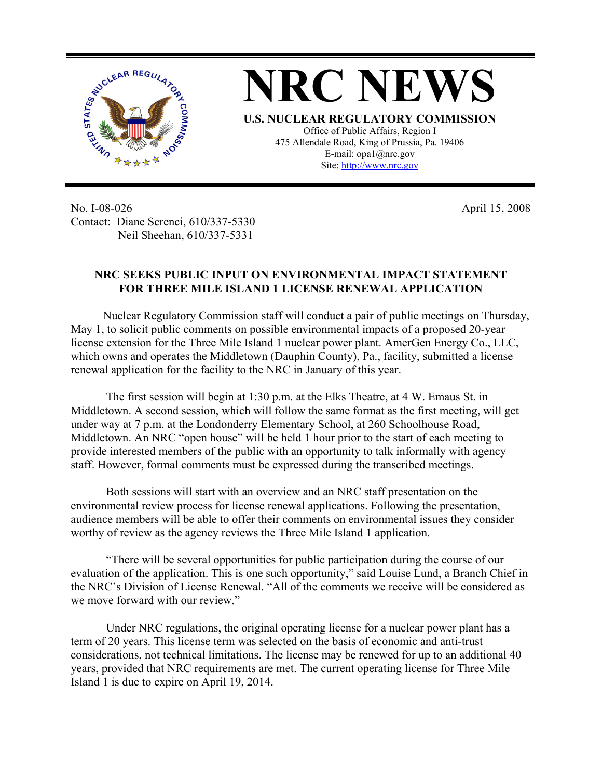

No. I-08-026 Contact: Diane Screnci, 610/337-5330 Neil Sheehan, 610/337-5331

April 15, 2008

## **NRC SEEKS PUBLIC INPUT ON ENVIRONMENTAL IMPACT STATEMENT FOR THREE MILE ISLAND 1 LICENSE RENEWAL APPLICATION**

 Nuclear Regulatory Commission staff will conduct a pair of public meetings on Thursday, May 1, to solicit public comments on possible environmental impacts of a proposed 20-year license extension for the Three Mile Island 1 nuclear power plant. AmerGen Energy Co., LLC, which owns and operates the Middletown (Dauphin County), Pa., facility, submitted a license renewal application for the facility to the NRC in January of this year.

 The first session will begin at 1:30 p.m. at the Elks Theatre, at 4 W. Emaus St. in Middletown. A second session, which will follow the same format as the first meeting, will get under way at 7 p.m. at the Londonderry Elementary School, at 260 Schoolhouse Road, Middletown. An NRC "open house" will be held 1 hour prior to the start of each meeting to provide interested members of the public with an opportunity to talk informally with agency staff. However, formal comments must be expressed during the transcribed meetings.

 Both sessions will start with an overview and an NRC staff presentation on the environmental review process for license renewal applications. Following the presentation, audience members will be able to offer their comments on environmental issues they consider worthy of review as the agency reviews the Three Mile Island 1 application.

 "There will be several opportunities for public participation during the course of our evaluation of the application. This is one such opportunity," said Louise Lund, a Branch Chief in the NRC's Division of License Renewal. "All of the comments we receive will be considered as we move forward with our review."

 Under NRC regulations, the original operating license for a nuclear power plant has a term of 20 years. This license term was selected on the basis of economic and anti-trust considerations, not technical limitations. The license may be renewed for up to an additional 40 years, provided that NRC requirements are met. The current operating license for Three Mile Island 1 is due to expire on April 19, 2014.